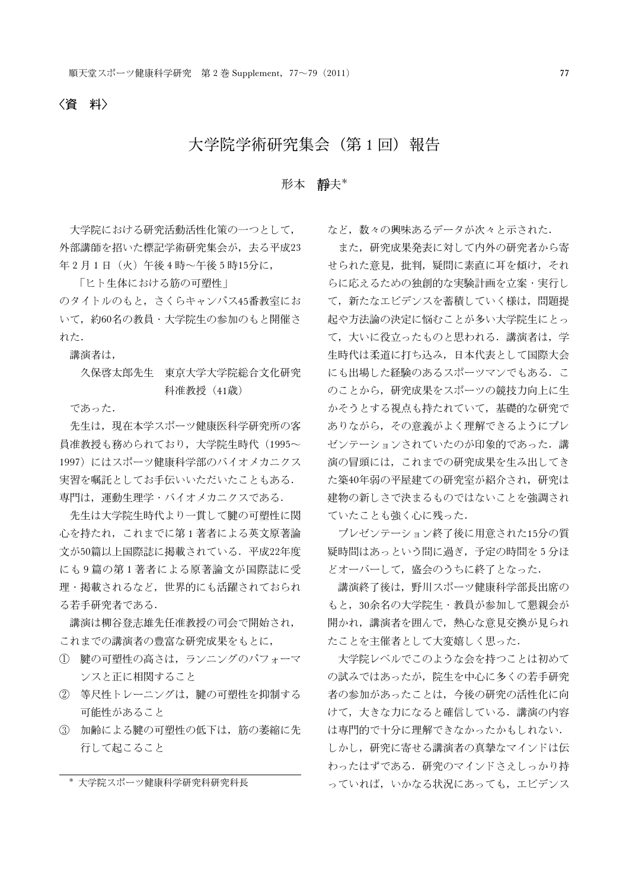# 大学院学術研究集会(第1回)報告

# 形本 靜夫\*

大学院における研究活動活性化策の一つとして, 外部講師を招いた標記学術研究集会が,去る平成23 年2月1日(火)午後4時~午後5時15分に,

「ヒト生体における筋の可塑性」

のタイトルのもと,さくらキャンパス45番教室にお いて,約60名の教員・大学院生の参加のもと開催さ れた.

講演者は,

久保啓太郎先生 東京大学大学院総合文化研究 科准教授(41歳)

であった.

先生は,現在本学スポーツ健康医科学研究所の客 員准教授も務められており、大学院生時代(1995~ 1997)にはスポーツ健康科学部のバイオメカニクス 実習を嘱託としてお手伝いいただいたこともある. 専門は,運動生理学・バイオメカニクスである.

先生は大学院生時代より一貫して腱の可塑性に関 心を持たれ,これまでに第 1 著者による英文原著論 文が50篇以上国際誌に掲載されている.平成22年度 にも 9 篇の第 1 著者による原著論文が国際誌に受 理・掲載されるなど,世界的にも活躍されておられ る若手研究者である.

講演は柳谷登志雄先任准教授の司会で開始され, これまでの講演者の豊富な研究成果をもとに,

- ◯ 腱の可塑性の高さは,ランニングのパフォーマ ンスと正に相関すること
- ◯ 等尺性トレーニングは,腱の可塑性を抑制する 可能性があること
- ◯ 加齢による腱の可塑性の低下は,筋の萎縮に先 行して起こること

大学院スポーツ健康科学研究科研究科長

など、数々の興味あるデータが次々と示された.

また,研究成果発表に対して内外の研究者から寄 せられた意見,批判,疑問に素直に耳を傾け,それ らに応えるための独創的な実験計画を立案・実行し て,新たなエビデンスを蓄積していく様は,問題提 起や方法論の決定に悩むことが多い大学院生にとっ て,大いに役立ったものと思われる.講演者は,学 生時代は柔道に打ち込み,日本代表として国際大会 にも出場した経験のあるスポーツマンでもある. こ のことから,研究成果をスポーツの競技力向上に生 かそうとする視点も持たれていて,基礎的な研究で ありながら,その意義がよく理解できるようにプレ ゼンテーションされていたのが印象的であった.講 演の冒頭には,これまでの研究成果を生み出してき た築40年弱の平屋建ての研究室が紹介され,研究は 建物の新しさで決まるものではないことを強調され ていたことも強く心に残った.

プレゼンテーション終了後に用意された15分の質 疑時間はあっという間に過ぎ,予定の時間を 5 分ほ どオーバーして、盛会のうちに終了となった.

講演終了後は,野川スポーツ健康科学部長出席の もと,30余名の大学院生・教員が参加して懇親会が 開かれ,講演者を囲んで,熱心な意見交換が見られ たことを主催者として大変嬉しく思った.

大学院レベルでこのような会を持つことは初めて の試みではあったが,院生を中心に多くの若手研究 者の参加があったことは,今後の研究の活性化に向 けて,大きな力になると確信している.講演の内容 は専門的で十分に理解できなかったかもしれない.

しかし,研究に寄せる講演者の真摯なマインドは伝 わったはずである.研究のマインドさえしっかり持 っていれば,いかなる状況にあっても,エビデンス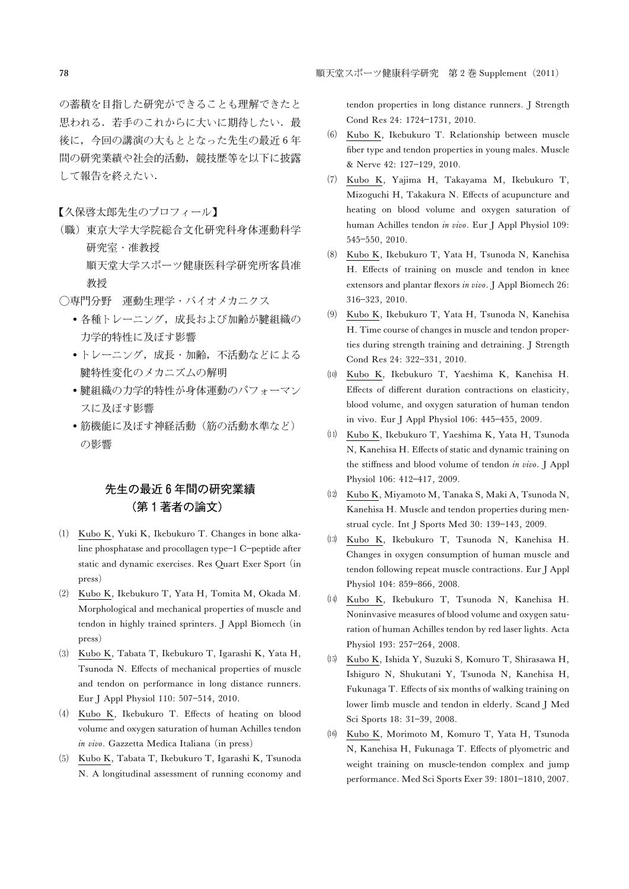の蓄積を目指した研究ができることも理解できたと 思われる. 若手のこれからに大いに期待したい. 最 後に,今回の講演の大もととなった先生の最近 6 年 間の研究業績や社会的活動,競技歴等を以下に披露 して報告を終えたい.

【久保啓太郎先生のプロフィール】

- (職)東京大学大学院総合文化研究科身体運動科学 研究室・准教授 順天堂大学スポーツ健康医科学研究所客員准 教授
- ○専門分野 運動生理学・バイオメカニクス
	- 各種トレーニング,成長および加齢が腱組織の 力学的特性に及ぼす影響
	- トレーニング,成長・加齢,不活動などによる 腱特性変化のメカニズムの解明
	- 腱組織の力学的特性が身体運動のパフォーマン スに及ぼす影響
	- 筋機能に及ぼす神経活動(筋の活動水準など) の影響

# 先生の最近6年間の研究業績 (第1著者の論文)

- (1) Kubo K, Yuki K, Ikebukuro T. Changes in bone alkaline phosphatase and procollagen type-1 C-peptide after static and dynamic exercises. Res Quart Exer Sport (in press)
- (2) Kubo K, Ikebukuro T, Yata H, Tomita M, Okada M. Morphological and mechanical properties of muscle and tendon in highly trained sprinters. J Appl Biomech (in press)
- (3) Kubo K, Tabata T, Ikebukuro T, Igarashi K, Yata H, Tsunoda N. Effects of mechanical properties of muscle and tendon on performance in long distance runners. Eur J Appl Physiol 110: 507-514, 2010.
- (4) Kubo K, Ikebukuro T. Effects of heating on blood volume and oxygen saturation of human Achilles tendon in vivo. Gazzetta Medica Italiana (in press)
- (5) Kubo K, Tabata T, Ikebukuro T, Igarashi K, Tsunoda N. A longitudinal assessment of running economy and

tendon properties in long distance runners. J Strength Cond Res 24: 1724-1731, 2010.

- (6) Kubo K, Ikebukuro T. Relationship between muscle fiber type and tendon properties in young males. Muscle & Nerve 42: 127-129, 2010.
- Kubo K, Yajima H, Takayama M, Ikebukuro T, Mizoguchi H, Takakura N. Effects of acupuncture and heating on blood volume and oxygen saturation of human Achilles tendon in vivo. Eur J Appl Physiol 109: 545550, 2010.
- (8) Kubo K, Ikebukuro T, Yata H, Tsunoda N, Kanehisa H. Effects of training on muscle and tendon in knee extensors and plantar flexors in vivo. J Appl Biomech 26: 316323, 2010.
- (9) Kubo K, Ikebukuro T, Yata H, Tsunoda N, Kanehisa H. Time course of changes in muscle and tendon properties during strength training and detraining. J Strength Cond Res 24: 322-331, 2010.
- Kubo K, Ikebukuro T, Yaeshima K, Kanehisa H. Effects of different duration contractions on elasticity, blood volume, and oxygen saturation of human tendon in vivo. Eur J Appl Physiol 106: 445-455, 2009.
- (11) Kubo K, Ikebukuro T, Yaeshima K, Yata H, Tsunoda N, Kanehisa H. Effects of static and dynamic training on the stiffness and blood volume of tendon in vivo. J Appl Physiol 106: 412-417, 2009.
- Kubo K, Miyamoto M, Tanaka S, Maki A, Tsunoda N, Kanehisa H. Muscle and tendon properties during menstrual cycle. Int J Sports Med 30: 139-143, 2009.
- Kubo K, Ikebukuro T, Tsunoda N, Kanehisa H. Changes in oxygen consumption of human muscle and tendon following repeat muscle contractions. Eur J Appl Physiol 104: 859-866, 2008.
- Kubo K, Ikebukuro T, Tsunoda N, Kanehisa H. Noninvasive measures of blood volume and oxygen saturation of human Achilles tendon by red laser lights. Acta Physiol 193: 257-264, 2008.
- Kubo K, Ishida Y, Suzuki S, Komuro T, Shirasawa H, Ishiguro N, Shukutani Y, Tsunoda N, Kanehisa H, Fukunaga T. Effects of six months of walking training on lower limb muscle and tendon in elderly. Scand J Med Sci Sports 18: 31-39, 2008.
- Kubo K, Morimoto M, Komuro T, Yata H, Tsunoda N, Kanehisa H, Fukunaga T. Effects of plyometric and weight training on muscle-tendon complex and jump performance. Med Sci Sports Exer 39: 1801-1810, 2007.